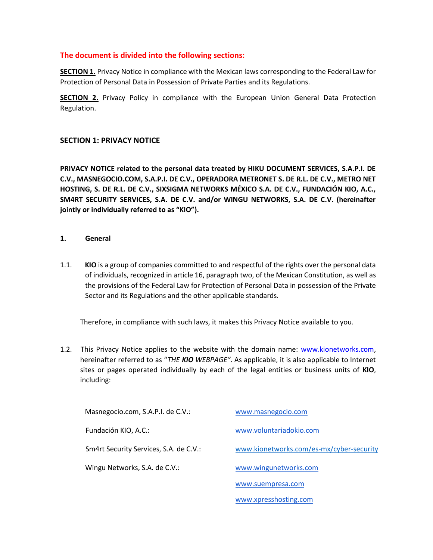# **The document is divided into the following sections:**

**SECTION 1.** Privacy Notice in compliance with the Mexican laws corresponding to the Federal Law for Protection of Personal Data in Possession of Private Parties and its Regulations.

**SECTION 2.** Privacy Policy in compliance with the European Union General Data Protection Regulation.

# **SECTION 1: PRIVACY NOTICE**

**PRIVACY NOTICE related to the personal data treated by HIKU DOCUMENT SERVICES, S.A.P.I. DE C.V., MASNEGOCIO.COM, S.A.P.I. DE C.V., OPERADORA METRONET S. DE R.L. DE C.V., METRO NET HOSTING, S. DE R.L. DE C.V., SIXSIGMA NETWORKS MÉXICO S.A. DE C.V., FUNDACIÓN KIO, A.C., SM4RT SECURITY SERVICES, S.A. DE C.V. and/or WINGU NETWORKS, S.A. DE C.V. (hereinafter jointly or individually referred to as "KIO").**

- **1. General**
- 1.1. **KIO** is a group of companies committed to and respectful of the rights over the personal data of individuals, recognized in article 16, paragraph two, of the Mexican Constitution, as well as the provisions of the Federal Law for Protection of Personal Data in possession of the Private Sector and its Regulations and the other applicable standards.

Therefore, in compliance with such laws, it makes this Privacy Notice available to you.

1.2. This Privacy Notice applies to the website with the domain name: [www.kionetworks.com,](http://www.kionetworks.com/) hereinafter referred to as "*THE KIO WEBPAGE"*. As applicable, it is also applicable to Internet sites or pages operated individually by each of the legal entities or business units of **KIO**, including:

| Masnegocio.com, S.A.P.I. de C.V.:      | www.masnegocio.com                       |
|----------------------------------------|------------------------------------------|
| Fundación KIO, A.C.:                   | www.voluntariadokio.com                  |
| Sm4rt Security Services, S.A. de C.V.: | www.kionetworks.com/es-mx/cyber-security |
| Wingu Networks, S.A. de C.V.:          | www.wingunetworks.com                    |
|                                        | www.suempresa.com                        |
|                                        | www.xpresshosting.com                    |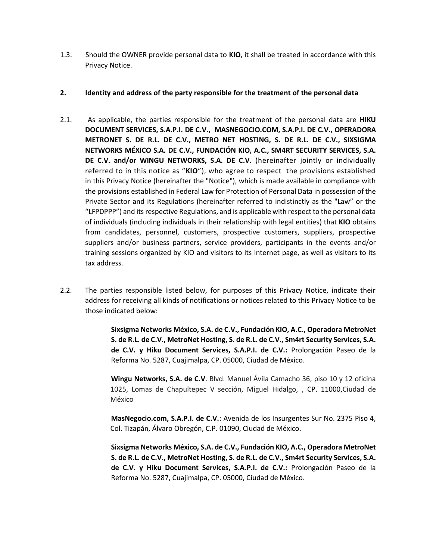1.3. Should the OWNER provide personal data to **KIO**, it shall be treated in accordance with this Privacy Notice.

## **2. Identity and address of the party responsible for the treatment of the personal data**

- 2.1. As applicable, the parties responsible for the treatment of the personal data are **HIKU DOCUMENT SERVICES, S.A.P.I. DE C.V., MASNEGOCIO.COM, S.A.P.I. DE C.V., OPERADORA METRONET S. DE R.L. DE C.V., METRO NET HOSTING, S. DE R.L. DE C.V., SIXSIGMA NETWORKS MÉXICO S.A. DE C.V., FUNDACIÓN KIO, A.C., SM4RT SECURITY SERVICES, S.A. DE C.V. and/or WINGU NETWORKS, S.A. DE C.V.** (hereinafter jointly or individually referred to in this notice as "**KIO**"), who agree to respect the provisions established in this Privacy Notice (hereinafter the "Notice"), which is made available in compliance with the provisions established in Federal Law for Protection of Personal Data in possession of the Private Sector and its Regulations (hereinafter referred to indistinctly as the "Law" or the "LFPDPPP") and its respective Regulations, and is applicable with respect to the personal data of individuals (including individuals in their relationship with legal entities) that **KIO** obtains from candidates, personnel, customers, prospective customers, suppliers, prospective suppliers and/or business partners, service providers, participants in the events and/or training sessions organized by KIO and visitors to its Internet page, as well as visitors to its tax address.
- 2.2. The parties responsible listed below, for purposes of this Privacy Notice, indicate their address for receiving all kinds of notifications or notices related to this Privacy Notice to be those indicated below:

**Sixsigma Networks México, S.A. de C.V., Fundación KIO, A.C., Operadora MetroNet S. de R.L. de C.V., MetroNet Hosting, S. de R.L. de C.V., Sm4rt Security Services, S.A. de C.V. y Hiku Document Services, S.A.P.I. de C.V.:** Prolongación Paseo de la Reforma No. 5287, Cuajimalpa, CP. 05000, Ciudad de México.

**Wingu Networks, S.A. de C.V**. Blvd. Manuel Ávila Camacho 36, piso 10 y 12 oficina 1025, Lomas de Chapultepec V sección, Miguel Hidalgo, , CP. 11000,Ciudad de México

**MasNegocio.com, S.A.P.I. de C.V.**: Avenida de los Insurgentes Sur No. 2375 Piso 4, Col. Tizapán, Álvaro Obregón, C.P. 01090, Ciudad de México.

**Sixsigma Networks México, S.A. de C.V., Fundación KIO, A.C., Operadora MetroNet S. de R.L. de C.V., MetroNet Hosting, S. de R.L. de C.V., Sm4rt Security Services, S.A. de C.V. y Hiku Document Services, S.A.P.I. de C.V.:** Prolongación Paseo de la Reforma No. 5287, Cuajimalpa, CP. 05000, Ciudad de México.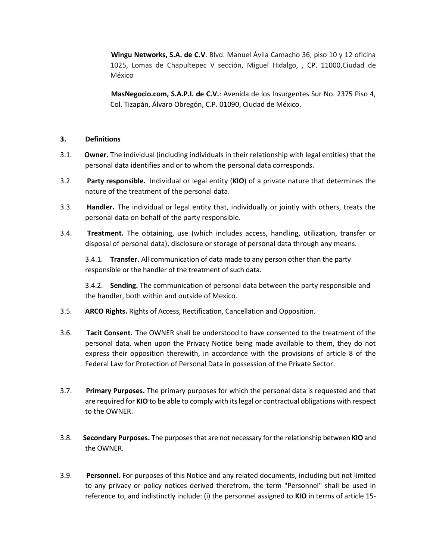**Wingu Networks, S.A. de C.V**. Blvd. Manuel Ávila Camacho 36, piso 10 y 12 oficina 1025, Lomas de Chapultepec V sección, Miguel Hidalgo, , CP. 11000,Ciudad de México

**MasNegocio.com, S.A.P.I. de C.V.**: Avenida de los Insurgentes Sur No. 2375 Piso 4, Col. Tizapán, Álvaro Obregón, C.P. 01090, Ciudad de México.

## **3. Definitions**

- 3.1. **Owner.** The individual (including individuals in their relationship with legal entities) that the personal data identifies and or to whom the personal data corresponds.
- 3.2. **Party responsible.** Individual or legal entity (**KIO**) of a private nature that determines the nature of the treatment of the personal data.
- 3.3. **Handler.** The individual or legal entity that, individually or jointly with others, treats the personal data on behalf of the party responsible.
- 3.4. **Treatment.** The obtaining, use (which includes access, handling, utilization, transfer or disposal of personal data), disclosure or storage of personal data through any means.

3.4.1. **Transfer.** All communication of data made to any person other than the party responsible or the handler of the treatment of such data.

3.4.2. **Sending.** The communication of personal data between the party responsible and the handler, both within and outside of Mexico.

- 3.5. **ARCO Rights.** Rights of Access, Rectification, Cancellation and Opposition.
- 3.6. **Tacit Consent.** The OWNER shall be understood to have consented to the treatment of the personal data, when upon the Privacy Notice being made available to them, they do not express their opposition therewith, in accordance with the provisions of article 8 of the Federal Law for Protection of Personal Data in possession of the Private Sector.
- 3.7. **Primary Purposes.** The primary purposes for which the personal data is requested and that are required for **KIO** to be able to comply with its legal or contractual obligations with respect to the OWNER.
- 3.8. **Secondary Purposes.** The purposes that are not necessary for the relationship between **KIO** and the OWNER.
- 3.9. **Personnel.** For purposes of this Notice and any related documents, including but not limited to any privacy or policy notices derived therefrom, the term "Personnel" shall be used in reference to, and indistinctly include: (i) the personnel assigned to **KIO** in terms of article 15-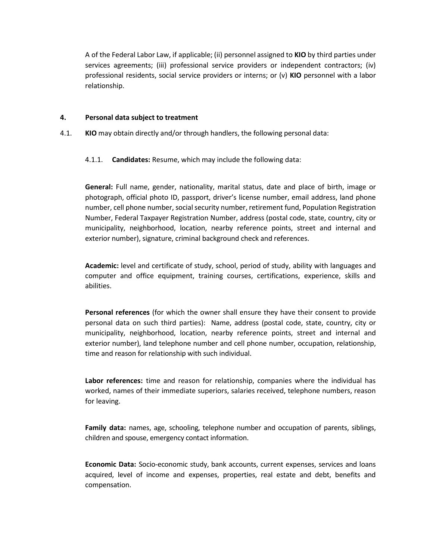A of the Federal Labor Law, if applicable; (ii) personnel assigned to **KIO** by third parties under services agreements; (iii) professional service providers or independent contractors; (iv) professional residents, social service providers or interns; or (v) **KIO** personnel with a labor relationship.

#### **4. Personal data subject to treatment**

- 4.1. **KIO** may obtain directly and/or through handlers, the following personal data:
	- 4.1.1. **Candidates:** Resume, which may include the following data:

**General:** Full name, gender, nationality, marital status, date and place of birth, image or photograph, official photo ID, passport, driver's license number, email address, land phone number, cell phone number, social security number, retirement fund, Population Registration Number, Federal Taxpayer Registration Number, address (postal code, state, country, city or municipality, neighborhood, location, nearby reference points, street and internal and exterior number), signature, criminal background check and references.

**Academic:** level and certificate of study, school, period of study, ability with languages and computer and office equipment, training courses, certifications, experience, skills and abilities.

**Personal references** (for which the owner shall ensure they have their consent to provide personal data on such third parties): Name, address (postal code, state, country, city or municipality, neighborhood, location, nearby reference points, street and internal and exterior number), land telephone number and cell phone number, occupation, relationship, time and reason for relationship with such individual.

**Labor references:** time and reason for relationship, companies where the individual has worked, names of their immediate superiors, salaries received, telephone numbers, reason for leaving.

**Family data:** names, age, schooling, telephone number and occupation of parents, siblings, children and spouse, emergency contact information.

**Economic Data:** Socio-economic study, bank accounts, current expenses, services and loans acquired, level of income and expenses, properties, real estate and debt, benefits and compensation.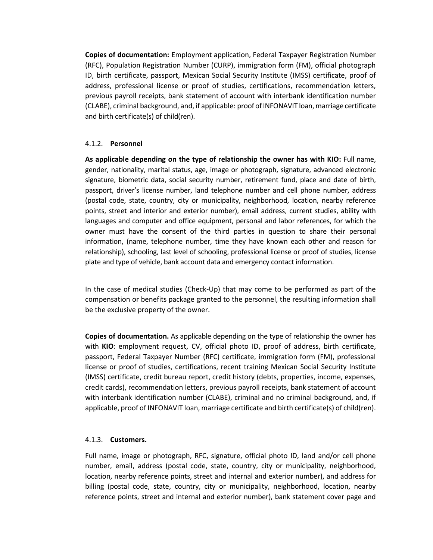**Copies of documentation:** Employment application, Federal Taxpayer Registration Number (RFC), Population Registration Number (CURP), immigration form (FM), official photograph ID, birth certificate, passport, Mexican Social Security Institute (IMSS) certificate, proof of address, professional license or proof of studies, certifications, recommendation letters, previous payroll receipts, bank statement of account with interbank identification number (CLABE), criminal background, and, if applicable: proof of INFONAVIT loan, marriage certificate and birth certificate(s) of child(ren).

## 4.1.2. **Personnel**

**As applicable depending on the type of relationship the owner has with KIO:** Full name, gender, nationality, marital status, age, image or photograph, signature, advanced electronic signature, biometric data, social security number, retirement fund, place and date of birth, passport, driver's license number, land telephone number and cell phone number, address (postal code, state, country, city or municipality, neighborhood, location, nearby reference points, street and interior and exterior number), email address, current studies, ability with languages and computer and office equipment, personal and labor references, for which the owner must have the consent of the third parties in question to share their personal information, (name, telephone number, time they have known each other and reason for relationship), schooling, last level of schooling, professional license or proof of studies, license plate and type of vehicle, bank account data and emergency contact information.

In the case of medical studies (Check-Up) that may come to be performed as part of the compensation or benefits package granted to the personnel, the resulting information shall be the exclusive property of the owner.

**Copies of documentation.** As applicable depending on the type of relationship the owner has with **KIO**: employment request, CV, official photo ID, proof of address, birth certificate, passport, Federal Taxpayer Number (RFC) certificate, immigration form (FM), professional license or proof of studies, certifications, recent training Mexican Social Security Institute (IMSS) certificate, credit bureau report, credit history (debts, properties, income, expenses, credit cards), recommendation letters, previous payroll receipts, bank statement of account with interbank identification number (CLABE), criminal and no criminal background, and, if applicable, proof of INFONAVIT loan, marriage certificate and birth certificate(s) of child(ren).

## 4.1.3. **Customers.**

Full name, image or photograph, RFC, signature, official photo ID, land and/or cell phone number, email, address (postal code, state, country, city or municipality, neighborhood, location, nearby reference points, street and internal and exterior number), and address for billing (postal code, state, country, city or municipality, neighborhood, location, nearby reference points, street and internal and exterior number), bank statement cover page and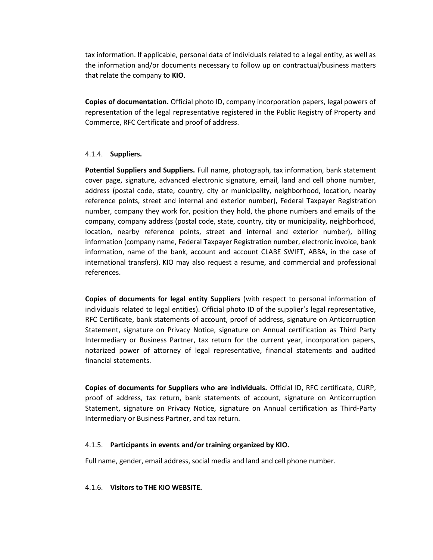tax information. If applicable, personal data of individuals related to a legal entity, as well as the information and/or documents necessary to follow up on contractual/business matters that relate the company to **KIO**.

**Copies of documentation.** Official photo ID, company incorporation papers, legal powers of representation of the legal representative registered in the Public Registry of Property and Commerce, RFC Certificate and proof of address.

#### 4.1.4. **Suppliers.**

**Potential Suppliers and Suppliers.** Full name, photograph, tax information, bank statement cover page, signature, advanced electronic signature, email, land and cell phone number, address (postal code, state, country, city or municipality, neighborhood, location, nearby reference points, street and internal and exterior number), Federal Taxpayer Registration number, company they work for, position they hold, the phone numbers and emails of the company, company address (postal code, state, country, city or municipality, neighborhood, location, nearby reference points, street and internal and exterior number), billing information (company name, Federal Taxpayer Registration number, electronic invoice, bank information, name of the bank, account and account CLABE SWIFT, ABBA, in the case of international transfers). KIO may also request a resume, and commercial and professional references.

**Copies of documents for legal entity Suppliers** (with respect to personal information of individuals related to legal entities). Official photo ID of the supplier's legal representative, RFC Certificate, bank statements of account, proof of address, signature on Anticorruption Statement, signature on Privacy Notice, signature on Annual certification as Third Party Intermediary or Business Partner, tax return for the current year, incorporation papers, notarized power of attorney of legal representative, financial statements and audited financial statements.

**Copies of documents for Suppliers who are individuals.** Official ID, RFC certificate, CURP, proof of address, tax return, bank statements of account, signature on Anticorruption Statement, signature on Privacy Notice, signature on Annual certification as Third-Party Intermediary or Business Partner, and tax return.

## 4.1.5. **Participants in events and/or training organized by KIO.**

Full name, gender, email address, social media and land and cell phone number.

## 4.1.6. **Visitors to THE KIO WEBSITE.**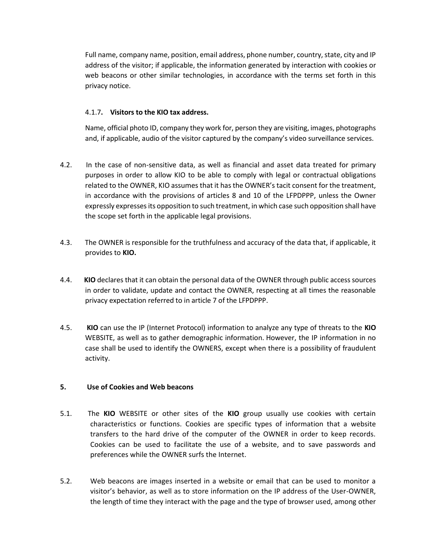Full name, company name, position, email address, phone number, country, state, city and IP address of the visitor; if applicable, the information generated by interaction with cookies or web beacons or other similar technologies, in accordance with the terms set forth in this privacy notice.

# 4.1.7**. Visitors to the KIO tax address.**

Name, official photo ID, company they work for, person they are visiting, images, photographs and, if applicable, audio of the visitor captured by the company's video surveillance services.

- 4.2. In the case of non-sensitive data, as well as financial and asset data treated for primary purposes in order to allow KIO to be able to comply with legal or contractual obligations related to the OWNER, KIO assumes that it has the OWNER's tacit consent for the treatment, in accordance with the provisions of articles 8 and 10 of the LFPDPPP, unless the Owner expressly expresses its opposition to such treatment, in which case such opposition shall have the scope set forth in the applicable legal provisions.
- 4.3. The OWNER is responsible for the truthfulness and accuracy of the data that, if applicable, it provides to **KIO.**
- 4.4. **KIO** declares that it can obtain the personal data of the OWNER through public access sources in order to validate, update and contact the OWNER, respecting at all times the reasonable privacy expectation referred to in article 7 of the LFPDPPP.
- 4.5. **KIO** can use the IP (Internet Protocol) information to analyze any type of threats to the **KIO** WEBSITE, as well as to gather demographic information. However, the IP information in no case shall be used to identify the OWNERS, except when there is a possibility of fraudulent activity.

## **5. Use of Cookies and Web beacons**

- 5.1. The **KIO** WEBSITE or other sites of the **KIO** group usually use cookies with certain characteristics or functions. Cookies are specific types of information that a website transfers to the hard drive of the computer of the OWNER in order to keep records. Cookies can be used to facilitate the use of a website, and to save passwords and preferences while the OWNER surfs the Internet.
- 5.2. Web beacons are images inserted in a website or email that can be used to monitor a visitor's behavior, as well as to store information on the IP address of the User-OWNER, the length of time they interact with the page and the type of browser used, among other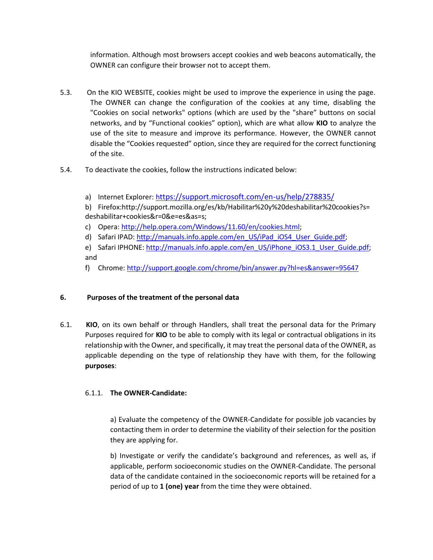information. Although most browsers accept cookies and web beacons automatically, the OWNER can configure their browser not to accept them.

- 5.3. On the KIO WEBSITE, cookies might be used to improve the experience in using the page. The OWNER can change the configuration of the cookies at any time, disabling the "Cookies on social networks" options (which are used by the "share" buttons on social networks, and by "Functional cookies" option), which are what allow **KIO** to analyze the use of the site to measure and improve its performance. However, the OWNER cannot disable the "Cookies requested" option, since they are required for the correct functioning of the site.
- 5.4. To deactivate the cookies, follow the instructions indicated below:
	- a) Internet Explorer: h[ttps://support.microsoft.com/en-us/help/278835/](https://support.microsoft.com/en-us/help/278835/)

b) Firefo[x:http://support.mozilla.org/es/kb/Habilitar%20y%20deshabilitar%20cookies?](http://support.mozilla.org/es/kb/Habilitar%20y%20deshabilitar%20cookies)s= deshabilitar+cookies&r=0&e=es&as=s;

- c) Opera[: http://help.opera.com/Windows/11.60/en/cookies.html;](http://help.opera.com/Windows/11.60/en/cookies.html)
- d) Safari IPAD: [http://manuals.info.apple.com/en\\_US/iPad\\_iOS4\\_User\\_Guide.pdf;](http://manuals.info.apple.com/en_US/iPad_iOS4_User_Guide.pdf)
- e) Safari IPHONE[: http://manuals.info.apple.com/en\\_US/iPhone\\_iOS3.1\\_User\\_Guide.pdf;](http://manuals.info.apple.com/en_US/iPhone_iOS3.1_User_Guide.pdf) and
- f) Chrome:<http://support.google.com/chrome/bin/answer.py?hl=es&answer=95647>

# **6. Purposes of the treatment of the personal data**

6.1. **KIO**, on its own behalf or through Handlers, shall treat the personal data for the Primary Purposes required for **KIO** to be able to comply with its legal or contractual obligations in its relationship with the Owner, and specifically, it may treat the personal data of the OWNER, as applicable depending on the type of relationship they have with them, for the following **purposes**:

# 6.1.1. **The OWNER-Candidate:**

a) Evaluate the competency of the OWNER-Candidate for possible job vacancies by contacting them in order to determine the viability of their selection for the position they are applying for.

b) Investigate or verify the candidate's background and references, as well as, if applicable, perform socioeconomic studies on the OWNER-Candidate. The personal data of the candidate contained in the socioeconomic reports will be retained for a period of up to **1 (one) year** from the time they were obtained.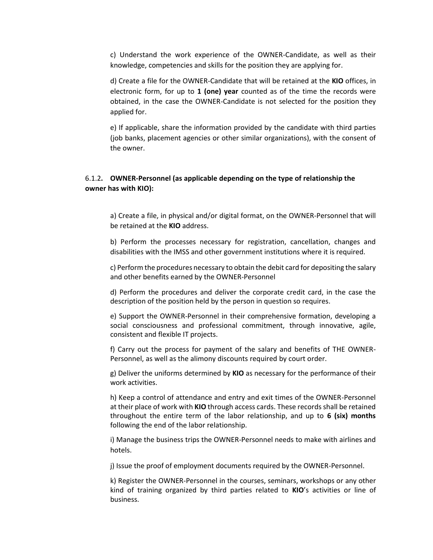c) Understand the work experience of the OWNER-Candidate, as well as their knowledge, competencies and skills for the position they are applying for.

d) Create a file for the OWNER-Candidate that will be retained at the **KIO** offices, in electronic form, for up to **1 (one) year** counted as of the time the records were obtained, in the case the OWNER-Candidate is not selected for the position they applied for.

e) If applicable, share the information provided by the candidate with third parties (job banks, placement agencies or other similar organizations), with the consent of the owner.

# 6.1.2**. OWNER-Personnel (as applicable depending on the type of relationship the owner has with KIO):**

a) Create a file, in physical and/or digital format, on the OWNER-Personnel that will be retained at the **KIO** address.

b) Perform the processes necessary for registration, cancellation, changes and disabilities with the IMSS and other government institutions where it is required.

c) Perform the procedures necessary to obtain the debit card for depositing the salary and other benefits earned by the OWNER-Personnel

d) Perform the procedures and deliver the corporate credit card, in the case the description of the position held by the person in question so requires.

e) Support the OWNER-Personnel in their comprehensive formation, developing a social consciousness and professional commitment, through innovative, agile, consistent and flexible IT projects.

f) Carry out the process for payment of the salary and benefits of THE OWNER-Personnel, as well as the alimony discounts required by court order.

g) Deliver the uniforms determined by **KIO** as necessary for the performance of their work activities.

h) Keep a control of attendance and entry and exit times of the OWNER-Personnel at their place of work with **KIO** through access cards. These records shall be retained throughout the entire term of the labor relationship, and up to **6 (six) months** following the end of the labor relationship.

i) Manage the business trips the OWNER-Personnel needs to make with airlines and hotels.

j) Issue the proof of employment documents required by the OWNER-Personnel.

k) Register the OWNER-Personnel in the courses, seminars, workshops or any other kind of training organized by third parties related to **KIO**'s activities or line of business.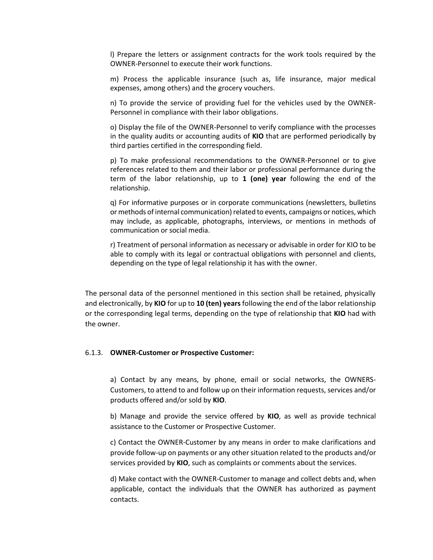l) Prepare the letters or assignment contracts for the work tools required by the OWNER-Personnel to execute their work functions.

m) Process the applicable insurance (such as, life insurance, major medical expenses, among others) and the grocery vouchers.

n) To provide the service of providing fuel for the vehicles used by the OWNER-Personnel in compliance with their labor obligations.

o) Display the file of the OWNER-Personnel to verify compliance with the processes in the quality audits or accounting audits of **KIO** that are performed periodically by third parties certified in the corresponding field.

p) To make professional recommendations to the OWNER-Personnel or to give references related to them and their labor or professional performance during the term of the labor relationship, up to **1 (one) year** following the end of the relationship.

q) For informative purposes or in corporate communications (newsletters, bulletins or methods of internal communication) related to events, campaigns or notices, which may include, as applicable, photographs, interviews, or mentions in methods of communication or social media.

r) Treatment of personal information as necessary or advisable in order for KIO to be able to comply with its legal or contractual obligations with personnel and clients, depending on the type of legal relationship it has with the owner.

The personal data of the personnel mentioned in this section shall be retained, physically and electronically, by **KIO** for up to **10 (ten) years** following the end of the labor relationship or the corresponding legal terms, depending on the type of relationship that **KIO** had with the owner.

#### 6.1.3. **OWNER-Customer or Prospective Customer:**

a) Contact by any means, by phone, email or social networks, the OWNERS-Customers, to attend to and follow up on their information requests, services and/or products offered and/or sold by **KIO**.

b) Manage and provide the service offered by **KIO**, as well as provide technical assistance to the Customer or Prospective Customer.

c) Contact the OWNER-Customer by any means in order to make clarifications and provide follow-up on payments or any other situation related to the products and/or services provided by **KIO**, such as complaints or comments about the services.

d) Make contact with the OWNER-Customer to manage and collect debts and, when applicable, contact the individuals that the OWNER has authorized as payment contacts.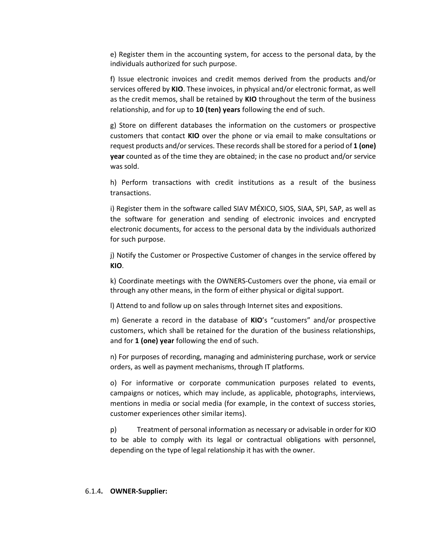e) Register them in the accounting system, for access to the personal data, by the individuals authorized for such purpose.

f) Issue electronic invoices and credit memos derived from the products and/or services offered by **KIO**. These invoices, in physical and/or electronic format, as well as the credit memos, shall be retained by **KIO** throughout the term of the business relationship, and for up to **10 (ten) years** following the end of such.

g) Store on different databases the information on the customers or prospective customers that contact **KIO** over the phone or via email to make consultations or request products and/or services. These records shall be stored for a period of **1 (one) year** counted as of the time they are obtained; in the case no product and/or service was sold.

h) Perform transactions with credit institutions as a result of the business transactions.

i) Register them in the software called SIAV MÉXICO, SIOS, SIAA, SPI, SAP, as well as the software for generation and sending of electronic invoices and encrypted electronic documents, for access to the personal data by the individuals authorized for such purpose.

j) Notify the Customer or Prospective Customer of changes in the service offered by **KIO**.

k) Coordinate meetings with the OWNERS-Customers over the phone, via email or through any other means, in the form of either physical or digital support.

l) Attend to and follow up on sales through Internet sites and expositions.

m) Generate a record in the database of **KIO**'s "customers" and/or prospective customers, which shall be retained for the duration of the business relationships, and for **1 (one) year** following the end of such.

n) For purposes of recording, managing and administering purchase, work or service orders, as well as payment mechanisms, through IT platforms.

o) For informative or corporate communication purposes related to events, campaigns or notices, which may include, as applicable, photographs, interviews, mentions in media or social media (for example, in the context of success stories, customer experiences other similar items).

p) Treatment of personal information as necessary or advisable in order for KIO to be able to comply with its legal or contractual obligations with personnel, depending on the type of legal relationship it has with the owner.

#### 6.1.4**. OWNER-Supplier:**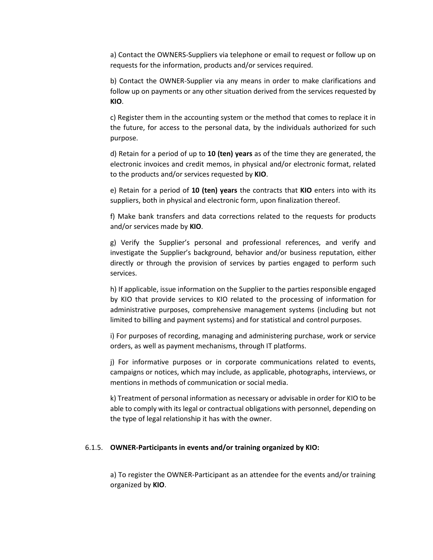a) Contact the OWNERS-Suppliers via telephone or email to request or follow up on requests for the information, products and/or services required.

b) Contact the OWNER-Supplier via any means in order to make clarifications and follow up on payments or any other situation derived from the services requested by **KIO**.

c) Register them in the accounting system or the method that comes to replace it in the future, for access to the personal data, by the individuals authorized for such purpose.

d) Retain for a period of up to **10 (ten) years** as of the time they are generated, the electronic invoices and credit memos, in physical and/or electronic format, related to the products and/or services requested by **KIO**.

e) Retain for a period of **10 (ten) years** the contracts that **KIO** enters into with its suppliers, both in physical and electronic form, upon finalization thereof.

f) Make bank transfers and data corrections related to the requests for products and/or services made by **KIO**.

g) Verify the Supplier's personal and professional references, and verify and investigate the Supplier's background, behavior and/or business reputation, either directly or through the provision of services by parties engaged to perform such services.

h) If applicable, issue information on the Supplier to the parties responsible engaged by KIO that provide services to KIO related to the processing of information for administrative purposes, comprehensive management systems (including but not limited to billing and payment systems) and for statistical and control purposes.

i) For purposes of recording, managing and administering purchase, work or service orders, as well as payment mechanisms, through IT platforms.

j) For informative purposes or in corporate communications related to events, campaigns or notices, which may include, as applicable, photographs, interviews, or mentions in methods of communication or social media.

k) Treatment of personal information as necessary or advisable in order for KIO to be able to comply with its legal or contractual obligations with personnel, depending on the type of legal relationship it has with the owner.

#### 6.1.5. **OWNER-Participants in events and/or training organized by KIO:**

a) To register the OWNER-Participant as an attendee for the events and/or training organized by **KIO**.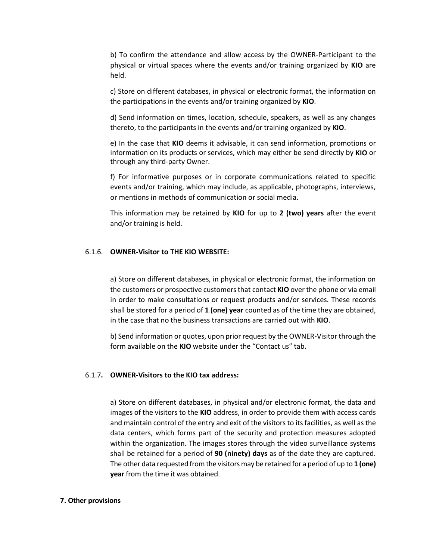b) To confirm the attendance and allow access by the OWNER-Participant to the physical or virtual spaces where the events and/or training organized by **KIO** are held.

c) Store on different databases, in physical or electronic format, the information on the participations in the events and/or training organized by **KIO**.

d) Send information on times, location, schedule, speakers, as well as any changes thereto, to the participants in the events and/or training organized by **KIO**.

e) In the case that **KIO** deems it advisable, it can send information, promotions or information on its products or services, which may either be send directly by **KIO** or through any third-party Owner.

f) For informative purposes or in corporate communications related to specific events and/or training, which may include, as applicable, photographs, interviews, or mentions in methods of communication or social media.

This information may be retained by **KIO** for up to **2 (two) years** after the event and/or training is held.

#### 6.1.6. **OWNER-Visitor to THE KIO WEBSITE:**

a) Store on different databases, in physical or electronic format, the information on the customers or prospective customers that contact **KIO** over the phone or via email in order to make consultations or request products and/or services. These records shall be stored for a period of **1 (one) year** counted as of the time they are obtained, in the case that no the business transactions are carried out with **KIO**.

b) Send information or quotes, upon prior request by the OWNER-Visitor through the form available on the **KIO** website under the "Contact us" tab.

#### 6.1.7**. OWNER-Visitors to the KIO tax address:**

a) Store on different databases, in physical and/or electronic format, the data and images of the visitors to the **KIO** address, in order to provide them with access cards and maintain control of the entry and exit of the visitors to its facilities, as well as the data centers, which forms part of the security and protection measures adopted within the organization. The images stores through the video surveillance systems shall be retained for a period of **90 (ninety) days** as of the date they are captured. The other data requested from the visitors may be retained for a period of up to **1 (one) year** from the time it was obtained.

#### **7. Other provisions**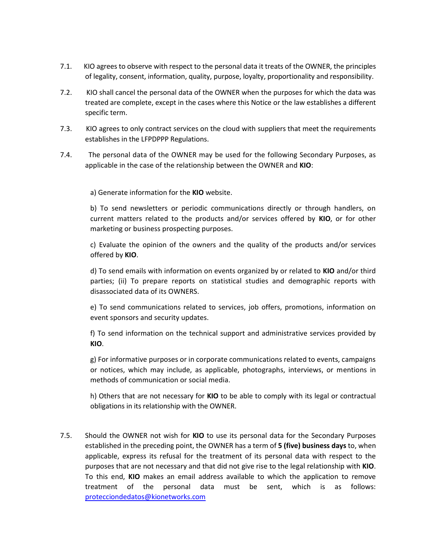- 7.1. KIO agrees to observe with respect to the personal data it treats of the OWNER, the principles of legality, consent, information, quality, purpose, loyalty, proportionality and responsibility.
- 7.2. KIO shall cancel the personal data of the OWNER when the purposes for which the data was treated are complete, except in the cases where this Notice or the law establishes a different specific term.
- 7.3. KIO agrees to only contract services on the cloud with suppliers that meet the requirements establishes in the LFPDPPP Regulations.
- 7.4. The personal data of the OWNER may be used for the following Secondary Purposes, as applicable in the case of the relationship between the OWNER and **KIO**:

a) Generate information for the **KIO** website.

b) To send newsletters or periodic communications directly or through handlers, on current matters related to the products and/or services offered by **KIO**, or for other marketing or business prospecting purposes.

c) Evaluate the opinion of the owners and the quality of the products and/or services offered by **KIO**.

d) To send emails with information on events organized by or related to **KIO** and/or third parties; (ii) To prepare reports on statistical studies and demographic reports with disassociated data of its OWNERS.

e) To send communications related to services, job offers, promotions, information on event sponsors and security updates.

f) To send information on the technical support and administrative services provided by **KIO**.

g) For informative purposes or in corporate communications related to events, campaigns or notices, which may include, as applicable, photographs, interviews, or mentions in methods of communication or social media.

h) Others that are not necessary for **KIO** to be able to comply with its legal or contractual obligations in its relationship with the OWNER.

7.5. Should the OWNER not wish for **KIO** to use its personal data for the Secondary Purposes established in the preceding point, the OWNER has a term of **5 (five) business days** to, when applicable, express its refusal for the treatment of its personal data with respect to the purposes that are not necessary and that did not give rise to the legal relationship with **KIO**. To this end, **KIO** makes an email address available to which the application to remove treatment of the personal data must be sent, which is as follows: [protecciondedatos@kionetworks.com](mailto:protecciondedatos@kionetworks.com)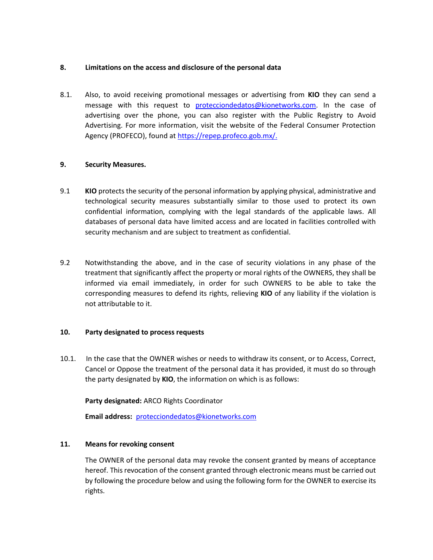## **8. Limitations on the access and disclosure of the personal data**

8.1. Also, to avoid receiving promotional messages or advertising from **KIO** they can send a message with this request to [protecciondedatos@kionetworks.com.](mailto:protecciondedatos@kionetworks.com) In the case of advertising over the phone, you can also register with the Public Registry to Avoid Advertising. For more information, visit the website of the Federal Consumer Protection Agency (PROFECO), found at [https://repep.profeco.gob.mx/.](https://repep.profeco.gob.mx/)

# **9. Security Measures.**

- 9.1 **KIO** protects the security of the personal information by applying physical, administrative and technological security measures substantially similar to those used to protect its own confidential information, complying with the legal standards of the applicable laws. All databases of personal data have limited access and are located in facilities controlled with security mechanism and are subject to treatment as confidential.
- 9.2 Notwithstanding the above, and in the case of security violations in any phase of the treatment that significantly affect the property or moral rights of the OWNERS, they shall be informed via email immediately, in order for such OWNERS to be able to take the corresponding measures to defend its rights, relieving **KIO** of any liability if the violation is not attributable to it.

## **10. Party designated to process requests**

10.1. In the case that the OWNER wishes or needs to withdraw its consent, or to Access, Correct, Cancel or Oppose the treatment of the personal data it has provided, it must do so through the party designated by **KIO**, the information on which is as follows:

# **Party designated:** ARCO Rights Coordinator

**Email address:** [protecciondedatos@kionetworks.com](mailto:protecciondedatos@kionetworks.com)

# **11. Means for revoking consent**

The OWNER of the personal data may revoke the consent granted by means of acceptance hereof. This revocation of the consent granted through electronic means must be carried out by following the procedure below and using the following form for the OWNER to exercise its rights.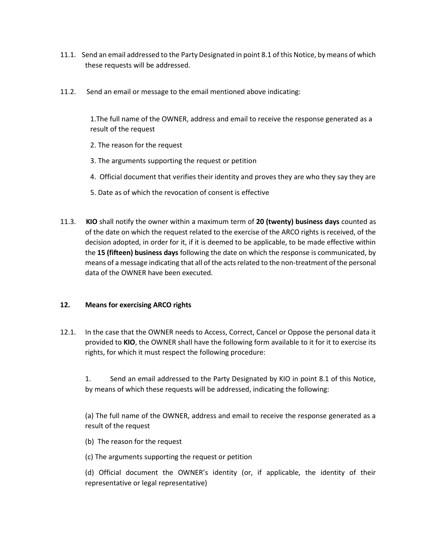- 11.1. Send an email addressed to the Party Designated in point 8.1 of this Notice, by means of which these requests will be addressed.
- 11.2. Send an email or message to the email mentioned above indicating:

1.The full name of the OWNER, address and email to receive the response generated as a result of the request

- 2. The reason for the request
- 3. The arguments supporting the request or petition
- 4. Official document that verifies their identity and proves they are who they say they are
- 5. Date as of which the revocation of consent is effective
- 11.3. **KIO** shall notify the owner within a maximum term of **20 (twenty) business days** counted as of the date on which the request related to the exercise of the ARCO rights is received, of the decision adopted, in order for it, if it is deemed to be applicable, to be made effective within the **15 (fifteen) business days** following the date on which the response is communicated, by means of a message indicating that all of the acts related to the non-treatment of the personal data of the OWNER have been executed.

## **12. Means for exercising ARCO rights**

12.1. In the case that the OWNER needs to Access, Correct, Cancel or Oppose the personal data it provided to **KIO**, the OWNER shall have the following form available to it for it to exercise its rights, for which it must respect the following procedure:

1. Send an email addressed to the Party Designated by KIO in point 8.1 of this Notice, by means of which these requests will be addressed, indicating the following:

(a) The full name of the OWNER, address and email to receive the response generated as a result of the request

(b) The reason for the request

(c) The arguments supporting the request or petition

(d) Official document the OWNER's identity (or, if applicable, the identity of their representative or legal representative)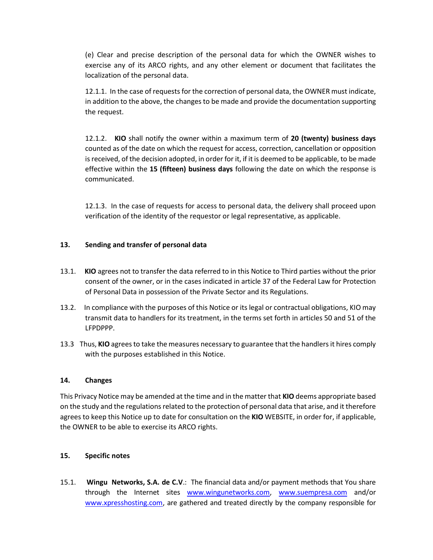(e) Clear and precise description of the personal data for which the OWNER wishes to exercise any of its ARCO rights, and any other element or document that facilitates the localization of the personal data.

12.1.1. In the case of requests for the correction of personal data, the OWNER must indicate, in addition to the above, the changes to be made and provide the documentation supporting the request.

12.1.2. **KIO** shall notify the owner within a maximum term of **20 (twenty) business days** counted as of the date on which the request for access, correction, cancellation or opposition is received, of the decision adopted, in order for it, if it is deemed to be applicable, to be made effective within the **15 (fifteen) business days** following the date on which the response is communicated.

12.1.3. In the case of requests for access to personal data, the delivery shall proceed upon verification of the identity of the requestor or legal representative, as applicable.

# **13. Sending and transfer of personal data**

- 13.1. **KIO** agrees not to transfer the data referred to in this Notice to Third parties without the prior consent of the owner, or in the cases indicated in article 37 of the Federal Law for Protection of Personal Data in possession of the Private Sector and its Regulations.
- 13.2. In compliance with the purposes of this Notice or its legal or contractual obligations, KIO may transmit data to handlers for its treatment, in the terms set forth in articles 50 and 51 of the LFPDPPP.
- 13.3 Thus, **KIO** agrees to take the measures necessary to guarantee that the handlers it hires comply with the purposes established in this Notice.

## **14. Changes**

This Privacy Notice may be amended at the time and in the matter that **KIO** deems appropriate based on the study and the regulations related to the protection of personal data that arise, and it therefore agrees to keep this Notice up to date for consultation on the **KIO** WEBSITE, in order for, if applicable, the OWNER to be able to exercise its ARCO rights.

## **15. Specific notes**

15.1. **Wingu Networks, S.A. de C.V**.: The financial data and/or payment methods that You share through the Internet sites [www.wingunetworks.com,](http://www.wingunetworks.com/) [www.suempresa.com](http://www.suempresa.com/) and/or [www.xpresshosting.com,](http://www.xpresshosting.com/) are gathered and treated directly by the company responsible for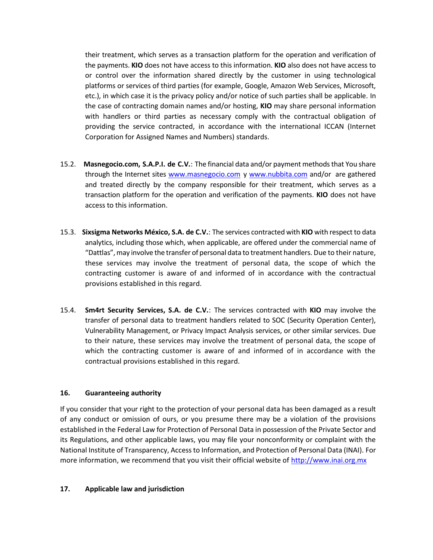their treatment, which serves as a transaction platform for the operation and verification of the payments. **KIO** does not have access to this information. **KIO** also does not have access to or control over the information shared directly by the customer in using technological platforms or services of third parties (for example, Google, Amazon Web Services, Microsoft, etc.), in which case it is the privacy policy and/or notice of such parties shall be applicable. In the case of contracting domain names and/or hosting, **KIO** may share personal information with handlers or third parties as necessary comply with the contractual obligation of providing the service contracted, in accordance with the international ICCAN (Internet Corporation for Assigned Names and Numbers) standards.

- 15.2. **Masnegocio.com, S.A.P.I. de C.V.**: The financial data and/or payment methods that You share through the Internet sites [www.masnegocio.com](http://www.masnegocio.com/) y [www.nubbita.com](http://www.nubbita.com/) and/or are gathered and treated directly by the company responsible for their treatment, which serves as a transaction platform for the operation and verification of the payments. **KIO** does not have access to this information.
- 15.3. **Sixsigma Networks México, S.A. de C.V.**: The services contracted with **KIO** with respect to data analytics, including those which, when applicable, are offered under the commercial name of "Dattlas", may involve the transfer of personal data to treatment handlers. Due to their nature, these services may involve the treatment of personal data, the scope of which the contracting customer is aware of and informed of in accordance with the contractual provisions established in this regard.
- 15.4. **Sm4rt Security Services, S.A. de C.V.**: The services contracted with **KIO** may involve the transfer of personal data to treatment handlers related to SOC (Security Operation Center), Vulnerability Management, or Privacy Impact Analysis services, or other similar services. Due to their nature, these services may involve the treatment of personal data, the scope of which the contracting customer is aware of and informed of in accordance with the contractual provisions established in this regard.

## **16. Guaranteeing authority**

If you consider that your right to the protection of your personal data has been damaged as a result of any conduct or omission of ours, or you presume there may be a violation of the provisions established in the Federal Law for Protection of Personal Data in possession of the Private Sector and its Regulations, and other applicable laws, you may file your nonconformity or complaint with the National Institute of Transparency, Access to Information, and Protection of Personal Data (INAI). For more information, we recommend that you visit their official website of [http://www.inai.org.mx](http://www.inai.org.mx/)

## **17. Applicable law and jurisdiction**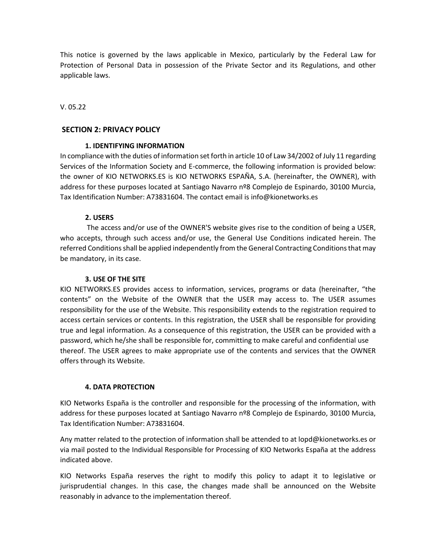This notice is governed by the laws applicable in Mexico, particularly by the Federal Law for Protection of Personal Data in possession of the Private Sector and its Regulations, and other applicable laws.

V. 05.22

## **SECTION 2: PRIVACY POLICY**

#### **1. IDENTIFYING INFORMATION**

In compliance with the duties of information set forth in article 10 of Law 34/2002 of July 11 regarding Services of the Information Society and E-commerce, the following information is provided below: the owner of KIO NETWORKS.ES is KIO NETWORKS ESPAÑA, S.A. (hereinafter, the OWNER), with address for these purposes located at Santiago Navarro nº8 Complejo de Espinardo, 30100 Murcia, Tax Identification Number: A73831604. The contact email is info@kionetworks.es

## **2. USERS**

The access and/or use of the OWNER'S website gives rise to the condition of being a USER, who accepts, through such access and/or use, the General Use Conditions indicated herein. The referred Conditions shall be applied independently from the General Contracting Conditions that may be mandatory, in its case.

#### **3. USE OF THE SITE**

KIO NETWORKS.ES provides access to information, services, programs or data (hereinafter, "the contents" on the Website of the OWNER that the USER may access to. The USER assumes responsibility for the use of the Website. This responsibility extends to the registration required to access certain services or contents. In this registration, the USER shall be responsible for providing true and legal information. As a consequence of this registration, the USER can be provided with a password, which he/she shall be responsible for, committing to make careful and confidential use thereof. The USER agrees to make appropriate use of the contents and services that the OWNER offers through its Website.

#### **4. DATA PROTECTION**

KIO Networks España is the controller and responsible for the processing of the information, with address for these purposes located at Santiago Navarro nº8 Complejo de Espinardo, 30100 Murcia, Tax Identification Number: A73831604.

Any matter related to the protection of information shall be attended to at lopd@kionetworks.es or via mail posted to the Individual Responsible for Processing of KIO Networks España at the address indicated above.

KIO Networks España reserves the right to modify this policy to adapt it to legislative or jurisprudential changes. In this case, the changes made shall be announced on the Website reasonably in advance to the implementation thereof.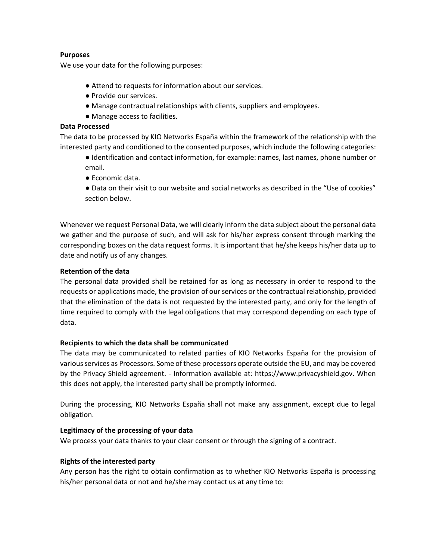#### **Purposes**

We use your data for the following purposes:

- Attend to requests for information about our services.
- Provide our services.
- Manage contractual relationships with clients, suppliers and employees.
- Manage access to facilities.

## **Data Processed**

The data to be processed by KIO Networks España within the framework of the relationship with the interested party and conditioned to the consented purposes, which include the following categories:

- Identification and contact information, for example: names, last names, phone number or email.
- Economic data.
- Data on their visit to our website and social networks as described in the "Use of cookies" section below.

Whenever we request Personal Data, we will clearly inform the data subject about the personal data we gather and the purpose of such, and will ask for his/her express consent through marking the corresponding boxes on the data request forms. It is important that he/she keeps his/her data up to date and notify us of any changes.

## **Retention of the data**

The personal data provided shall be retained for as long as necessary in order to respond to the requests or applications made, the provision of our services or the contractual relationship, provided that the elimination of the data is not requested by the interested party, and only for the length of time required to comply with the legal obligations that may correspond depending on each type of data.

# **Recipients to which the data shall be communicated**

The data may be communicated to related parties of KIO Networks España for the provision of various services as Processors. Some of these processors operate outside the EU, and may be covered by the Privacy Shield agreement. - Information available at: https://www.privacyshield.gov. When this does not apply, the interested party shall be promptly informed.

During the processing, KIO Networks España shall not make any assignment, except due to legal obligation.

# **Legitimacy of the processing of your data**

We process your data thanks to your clear consent or through the signing of a contract.

## **Rights of the interested party**

Any person has the right to obtain confirmation as to whether KIO Networks España is processing his/her personal data or not and he/she may contact us at any time to: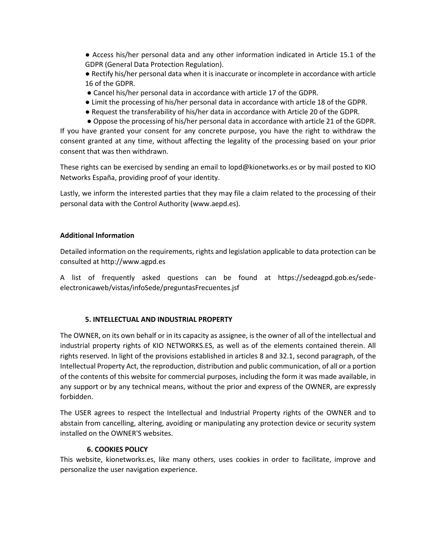- Access his/her personal data and any other information indicated in Article 15.1 of the GDPR (General Data Protection Regulation).
- Rectify his/her personal data when it is inaccurate or incomplete in accordance with article 16 of the GDPR.
- Cancel his/her personal data in accordance with article 17 of the GDPR.
- Limit the processing of his/her personal data in accordance with article 18 of the GDPR.
- Request the transferability of his/her data in accordance with Article 20 of the GDPR.

● Oppose the processing of his/her personal data in accordance with article 21 of the GDPR. If you have granted your consent for any concrete purpose, you have the right to withdraw the consent granted at any time, without affecting the legality of the processing based on your prior consent that was then withdrawn.

These rights can be exercised by sending an email to lopd@kionetworks.es or by mail posted to KIO Networks España, providing proof of your identity.

Lastly, we inform the interested parties that they may file a claim related to the processing of their personal data with the Control Authority (www.aepd.es).

## **Additional Information**

Detailed information on the requirements, rights and legislation applicable to data protection can be consulted at http://www.agpd.es

A list of frequently asked questions can be found at https://sedeagpd.gob.es/sedeelectronicaweb/vistas/infoSede/preguntasFrecuentes.jsf

## **5. INTELLECTUAL AND INDUSTRIAL PROPERTY**

The OWNER, on its own behalf or in its capacity as assignee, is the owner of all of the intellectual and industrial property rights of KIO NETWORKS.ES, as well as of the elements contained therein. All rights reserved. In light of the provisions established in articles 8 and 32.1, second paragraph, of the Intellectual Property Act, the reproduction, distribution and public communication, of all or a portion of the contents of this website for commercial purposes, including the form it was made available, in any support or by any technical means, without the prior and express of the OWNER, are expressly forbidden.

The USER agrees to respect the Intellectual and Industrial Property rights of the OWNER and to abstain from cancelling, altering, avoiding or manipulating any protection device or security system installed on the OWNER'S websites.

## **6. COOKIES POLICY**

This website, kionetworks.es, like many others, uses cookies in order to facilitate, improve and personalize the user navigation experience.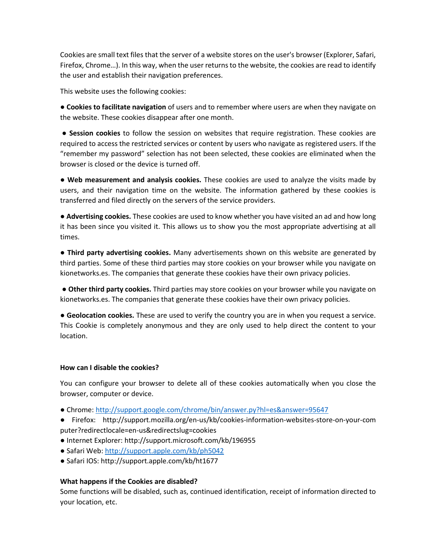Cookies are small text files that the server of a website stores on the user's browser (Explorer, Safari, Firefox, Chrome…). In this way, when the user returns to the website, the cookies are read to identify the user and establish their navigation preferences.

This website uses the following cookies:

**● Cookies to facilitate navigation** of users and to remember where users are when they navigate on the website. These cookies disappear after one month.

● **Session cookies** to follow the session on websites that require registration. These cookies are required to access the restricted services or content by users who navigate as registered users. If the "remember my password" selection has not been selected, these cookies are eliminated when the browser is closed or the device is turned off.

● **Web measurement and analysis cookies.** These cookies are used to analyze the visits made by users, and their navigation time on the website. The information gathered by these cookies is transferred and filed directly on the servers of the service providers.

● **Advertising cookies.** These cookies are used to know whether you have visited an ad and how long it has been since you visited it. This allows us to show you the most appropriate advertising at all times.

**● Third party advertising cookies.** Many advertisements shown on this website are generated by third parties. Some of these third parties may store cookies on your browser while you navigate on kionetworks.es. The companies that generate these cookies have their own privacy policies.

● **Other third party cookies.** Third parties may store cookies on your browser while you navigate on kionetworks.es. The companies that generate these cookies have their own privacy policies.

● **Geolocation cookies.** These are used to verify the country you are in when you request a service. This Cookie is completely anonymous and they are only used to help direct the content to your location.

## **How can I disable the cookies?**

You can configure your browser to delete all of these cookies automatically when you close the browser, computer or device.

- Chrome: <http://support.google.com/chrome/bin/answer.py?hl=es&answer=95647>
- Firefox: http://support.mozilla.org/en-us/kb/cookies-information-websites-store-on-your-com puter?redirectlocale=en-us&redirectslug=cookies
- Internet Explorer: http://support.microsoft.com/kb/196955
- Safari Web: <http://support.apple.com/kb/ph5042>
- Safari IOS: http://support.apple.com/kb/ht1677

## **What happens if the Cookies are disabled?**

Some functions will be disabled, such as, continued identification, receipt of information directed to your location, etc.